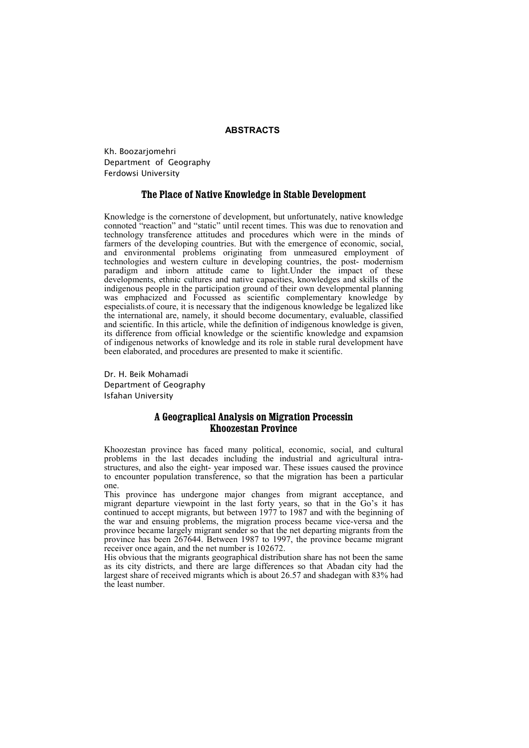### **ABSTRACTS**

Kh. Boozarjomehri Department of Geography Ferdowsi University

### **The Place of Native Knowledge in Stable Development**

Knowledge is the cornerstone of development, but unfortunately, native knowledge connoted "reaction" and "static" until recent times. This was due to renovation and technology transference attitudes and procedures which were in the minds of farmers of the developing countries. But with the emergence of economic, social, and environmental problems originating from unmeasured employment of technologies and western culture in developing countries, the post- modernism paradigm and inborn attitude came to light.Under the impact of these developments, ethnic cultures and native capacities, knowledges and skills of the indigenous people in the participation ground of their own developmental planning was emphacized and Focussed as scientific complementary knowledge by especialists.of coure, it is necessary that the indigenous knowledge be legalized like the international are, namely, it should become documentary, evaluable, classified and scientific. In this article, while the definition of indigenous knowledge is given, its difference from official knowledge or the scientific knowledge and expamsion of indigenous networks of knowledge and its role in stable rural development have been elaborated, and procedures are presented to make it scientific.

Dr. H. Beik Mohamadi Department of Geography Isfahan University

# **A Geograplical Analysis on Migration Processin Khoozestan Province**

Khoozestan province has faced many political, economic, social, and cultural problems in the last decades including the industrial and agricultural intrastructures, and also the eight- year imposed war. These issues caused the province to encounter population transference, so that the migration has been a particular one.

This province has undergone major changes from migrant acceptance, and migrant departure viewpoint in the last forty years, so that in the Go's it has continued to accept migrants, but between 1977 to 1987 and with the beginning of the war and ensuing problems, the migration process became vice-versa and the province became largely migrant sender so that the net departing migrants from the province has been 267644. Between 1987 to 1997, the province became migrant receiver once again, and the net number is 102672.

His obvious that the migrants geographical distribution share has not been the same as its city districts, and there are large differences so that Abadan city had the largest share of received migrants which is about 26.57 and shadegan with 83% had the least number.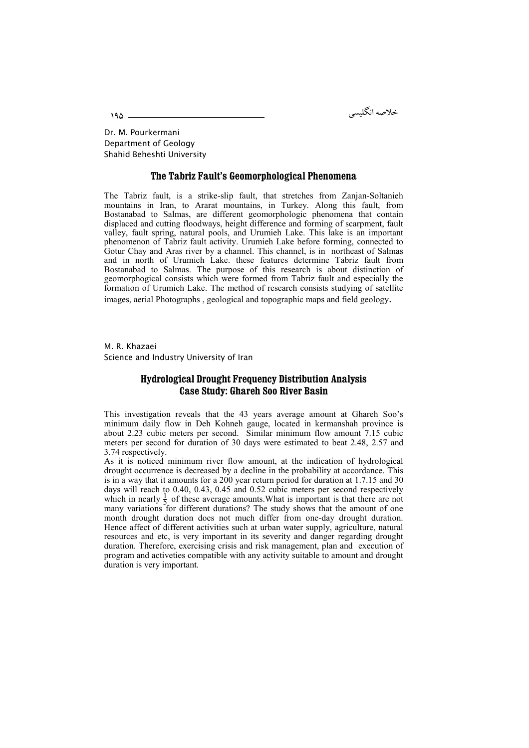خلاصه انكليس

Dr. M. Pourkermani Department of Geology Shahid Beheshti University

### **The Tabriz Fault's Geomorphological Phenomena**

The Tabriz fault, is a strike-slip fault, that stretches from Zanjan-Soltanieh mountains in Iran, to Ararat mountains, in Turkey. Along this fault, from Bostanabad to Salmas, are different geomorphologic phenomena that contain displaced and cutting floodways, height difference and forming of scarpment, fault valley, fault spring, natural pools, and Urumieh Lake. This lake is an important phenomenon of Tabriz fault activity. Urumieh Lake before forming, connected to Gotur Chay and Aras river by a channel. This channel, is in northeast of Salmas and in north of Urumieh Lake. these features determine Tabriz fault from Bostanabad to Salmas. The purpose of this research is about distinction of geomorphogical consists which were formed from Tabriz fault and especially the formation of Urumieh Lake. The method of research consists studying of satellite images, aerial Photographs , geological and topographic maps and field geology.

M. R. Khazaei Science and Industry University of Iran

## **Hydrological Drought Frequency Distribution Analysis Case Study: Ghareh Soo River Basin**

This investigation reveals that the 43 years average amount at Ghareh Soo's minimum daily flow in Deh Kohneh gauge, located in kermanshah province is about 2.23 cubic meters per second. Similar minimum flow amount 7.15 cubic meters per second for duration of 30 days were estimated to beat 2.48, 2.57 and 3.74 respectively.

As it is noticed minimum river flow amount, at the indication of hydrological drought occurrence is decreased by a decline in the probability at accordance. This is in a way that it amounts for a 200 year return period for duration at 1.7.15 and 30 days will reach to 0.40, 0.43, 0.45 and 0.52 cubic meters per second respectively which in nearly  $\frac{1}{5}$  of these average amounts. What is important is that there are not many variations for different durations? The study shows that the amount of one month drought duration does not much differ from one-day drought duration. Hence affect of different activities such at urban water supply, agriculture, natural resources and etc, is very important in its severity and danger regarding drought duration. Therefore, exercising crisis and risk management, plan and execution of program and activeties compatible with any activity suitable to amount and drought duration is very important.

195 -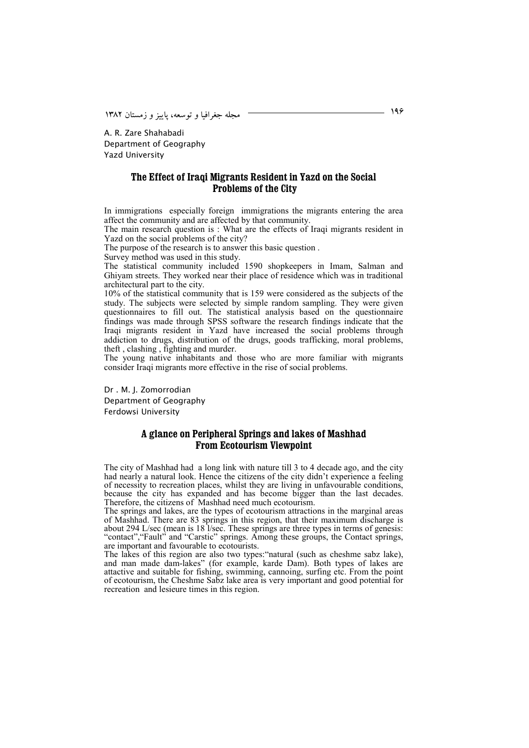196 !"# 

A. R. Zare Shahabadi Department of Geography Yazd University

## **The Effect of Iraqi Migrants Resident in Yazd on the Social Problems of the City**

In immigrations especially foreign immigrations the migrants entering the area affect the community and are affected by that community.

The main research question is : What are the effects of Iraqi migrants resident in Yazd on the social problems of the city?

The purpose of the research is to answer this basic question .

Survey method was used in this study.

The statistical community included 1590 shopkeepers in Imam, Salman and Ghiyam streets. They worked near their place of residence which was in traditional architectural part to the city.

10% of the statistical community that is 159 were considered as the subjects of the study. The subjects were selected by simple random sampling. They were given questionnaires to fill out. The statistical analysis based on the questionnaire findings was made through SPSS software the research findings indicate that the Iraqi migrants resident in Yazd have increased the social problems through addiction to drugs, distribution of the drugs, goods trafficking, moral problems, theft , clashing , fighting and murder.

The young native inhabitants and those who are more familiar with migrants consider Iraqi migrants more effective in the rise of social problems.

Dr . M. J. Zomorrodian Department of Geography Ferdowsi University

# **A glance on Peripheral Springs and lakes of Mashhad From Ecotourism Viewpoint**

The city of Mashhad had a long link with nature till 3 to 4 decade ago, and the city had nearly a natural look. Hence the citizens of the city didn't experience a feeling of necessity to recreation places, whilst they are living in unfavourable conditions, because the city has expanded and has become bigger than the last decades. Therefore, the citizens of Mashhad need much ecotourism.

The springs and lakes, are the types of ecotourism attractions in the marginal areas of Mashhad. There are 83 springs in this region, that their maximum discharge is about 294 L/sec (mean is 18 l/sec. These springs are three types in terms of genesis: "contact","Fault" and "Carstic" springs. Among these groups, the Contact springs, are important and favourable to ecotourists.

The lakes of this region are also two types:"natural (such as cheshme sabz lake), and man made dam-lakes" (for example, karde Dam). Both types of lakes are attactive and suitable for fishing, swimming, cannoing, surfing etc. From the point of ecotourism, the Cheshme Sabz lake area is very important and good potential for recreation and lesieure times in this region.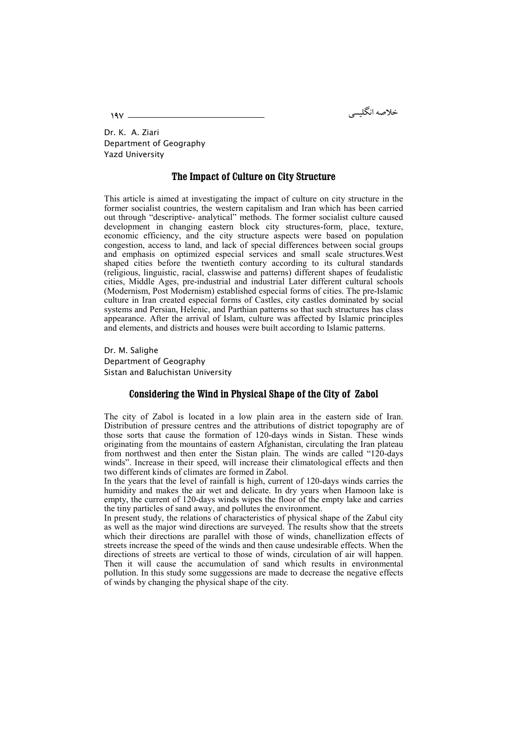خلاصه انكليس

Dr. K. A. Ziari Department of Geography Yazd University

### **The Impact of Culture on City Structure**

This article is aimed at investigating the impact of culture on city structure in the former socialist countries, the western capitalism and Iran which has been carried out through "descriptive- analytical" methods. The former socialist culture caused development in changing eastern block city structures-form, place, texture, economic efficiency, and the city structure aspects were based on population congestion, access to land, and lack of special differences between social groups and emphasis on optimized especial services and small scale structures.West shaped cities before the twentieth contury according to its cultural standards (religious, linguistic, racial, classwise and patterns) different shapes of feudalistic cities, Middle Ages, pre-industrial and industrial Later different cultural schools (Modernism, Post Modernism) established especial forms of cities. The pre-Islamic culture in Iran created especial forms of Castles, city castles dominated by social systems and Persian, Helenic, and Parthian patterns so that such structures has class appearance. After the arrival of Islam, culture was affected by Islamic principles and elements, and districts and houses were built according to Islamic patterns.

Dr. M. Salighe Department of Geography Sistan and Baluchistan University

# **Considering the Wind in Physical Shape of the City of Zabol**

The city of Zabol is located in a low plain area in the eastern side of Iran. Distribution of pressure centres and the attributions of district topography are of those sorts that cause the formation of 120-days winds in Sistan. These winds originating from the mountains of eastern Afghanistan, circulating the Iran plateau from northwest and then enter the Sistan plain. The winds are called "120-days winds". Increase in their speed, will increase their climatological effects and then two different kinds of climates are formed in Zabol.

In the years that the level of rainfall is high, current of 120-days winds carries the humidity and makes the air wet and delicate. In dry years when Hamoon lake is empty, the current of 120-days winds wipes the floor of the empty lake and carries the tiny particles of sand away, and pollutes the environment.

In present study, the relations of characteristics of physical shape of the Zabul city as well as the major wind directions are surveyed. The results show that the streets which their directions are parallel with those of winds, chanellization effects of streets increase the speed of the winds and then cause undesirable effects. When the directions of streets are vertical to those of winds, circulation of air will happen. Then it will cause the accumulation of sand which results in environmental pollution. In this study some suggessions are made to decrease the negative effects of winds by changing the physical shape of the city.

197 -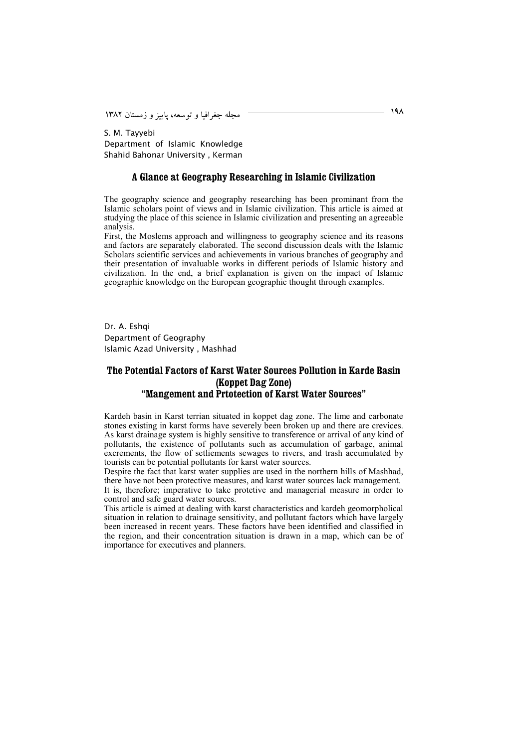198 !"# 

S. M. Tayyebi Department of Islamic Knowledge Shahid Bahonar University , Kerman

#### **A Glance at Geography Researching in Islamic Civilization**

The geography science and geography researching has been prominant from the Islamic scholars point of views and in Islamic civilization. This article is aimed at studying the place of this science in Islamic civilization and presenting an agreeable analysis.

First, the Moslems approach and willingness to geography science and its reasons and factors are separately elaborated. The second discussion deals with the Islamic Scholars scientific services and achievements in various branches of geography and their presentation of invaluable works in different periods of Islamic history and civilization. In the end, a brief explanation is given on the impact of Islamic geographic knowledge on the European geographic thought through examples.

Dr. A. Eshai Department of Geography Islamic Azad University , Mashhad

# **The Potential Factors of Karst Water Sources Pollution in Karde Basin (Koppet Dag Zone) "Mangement and Prtotection of Karst Water Sources"**

Kardeh basin in Karst terrian situated in koppet dag zone. The lime and carbonate stones existing in karst forms have severely been broken up and there are crevices. As karst drainage system is highly sensitive to transference or arrival of any kind of pollutants, the existence of pollutants such as accumulation of garbage, animal excrements, the flow of setliements sewages to rivers, and trash accumulated by tourists can be potential pollutants for karst water sources.

Despite the fact that karst water supplies are used in the northern hills of Mashhad, there have not been protective measures, and karst water sources lack management. It is, therefore; imperative to take protetive and managerial measure in order to control and safe guard water sources.

This article is aimed at dealing with karst characteristics and kardeh geomorpholical situation in relation to drainage sensitivity, and pollutant factors which have largely been increased in recent years. These factors have been identified and classified in the region, and their concentration situation is drawn in a map, which can be of importance for executives and planners.